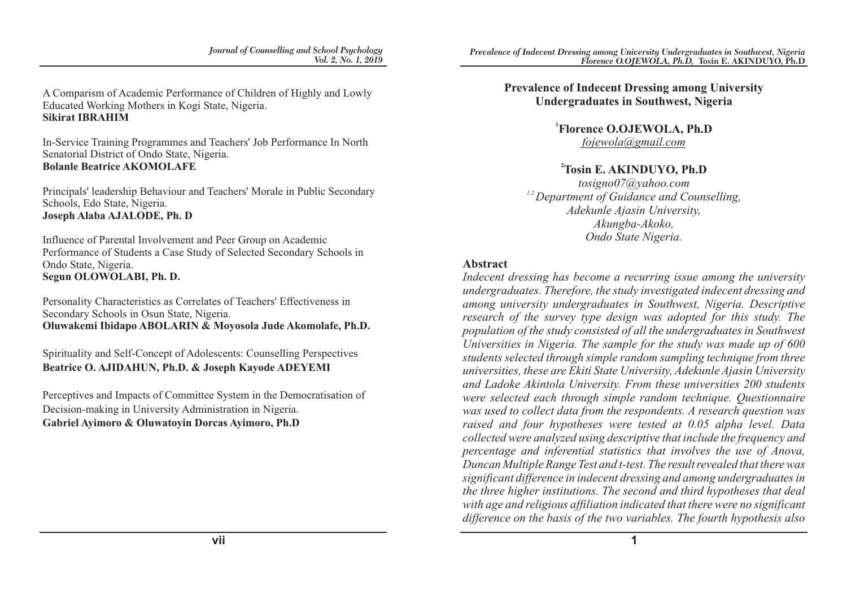A Comparism of Academic Performance of Children of Highly and Lowly Educated Working Mothers in Kogi State, Nigeria. **Sikirat IBRAHIM**

In-Service Training Programmes and Teachers' Job Performance In North Senatorial District of Ondo State, Nigeria. **Bolanle Beatrice AKOMOLAFE**

Principals' leadership Behaviour and Teachers' Morale in Public Secondary Schools, Edo State, Nigeria. **Joseph Alaba AJALODE, Ph. D**

Influence of Parental Involvement and Peer Group on Academic Performance of Students a Case Study of Selected Secondary Schools in Ondo State, Nigeria. **Segun OLOWOLABI, Ph. D.**

Personality Characteristics as Correlates of Teachers' Effectiveness in Secondary Schools in Osun State, Nigeria. **Oluwakemi Ibidapo ABOLARIN & Moyosola Jude Akomolafe, Ph.D.**

Spirituality and Self-Concept of Adolescents: Counselling Perspectives **Beatrice O. AJIDAHUN, Ph.D. & Joseph Kayode ADEYEMI**

Perceptives and Impacts of Committee System in the Democratisation of Decision-making in University Administration in Nigeria. **Gabriel Ayimoro & Oluwatoyin Dorcas Ayimoro, Ph.D**

**Prevalence of Indecent Dressing among University Undergraduates in Southwest, Nigeria**

> **1 Florence O.OJEWOLA, Ph.D** *fojewola@gmail.com*

#### **<sup>2</sup>Tosin E. AKINDUYO, Ph.D**

*tosigno07@yahoo.com 1,2 Department of Guidance and Counselling, Adekunle Ajasin University, Akungba-Akoko, Ondo State Nigeria.*

#### **Abstract**

*Indecent dressing has become a recurring issue among the university undergraduates. Therefore, the study investigated indecent dressing and among university undergraduates in Southwest, Nigeria. Descriptive research of the survey type design was adopted for this study. The population of the study consisted of all the undergraduates in Southwest Universities in Nigeria. The sample for the study was made up of 600 students selected through simple random sampling technique from three universities, these are Ekiti State University, Adekunle Ajasin University and Ladoke Akintola University. From these universities 200 students were selected each through simple random technique. Questionnaire was used to collect data from the respondents. A research question was raised and four hypotheses were tested at 0.05 alpha level. Data collected were analyzed using descriptive that include the frequency and percentage and inferential statistics that involves the use of Anova, Duncan Multiple Range Test and t-test. The result revealed that there was significant difference in indecent dressing and among undergraduates in the three higher institutions. The second and third hypotheses that deal with age and religious affiliation indicated that there were no significant difference on the basis of the two variables. The fourth hypothesis also*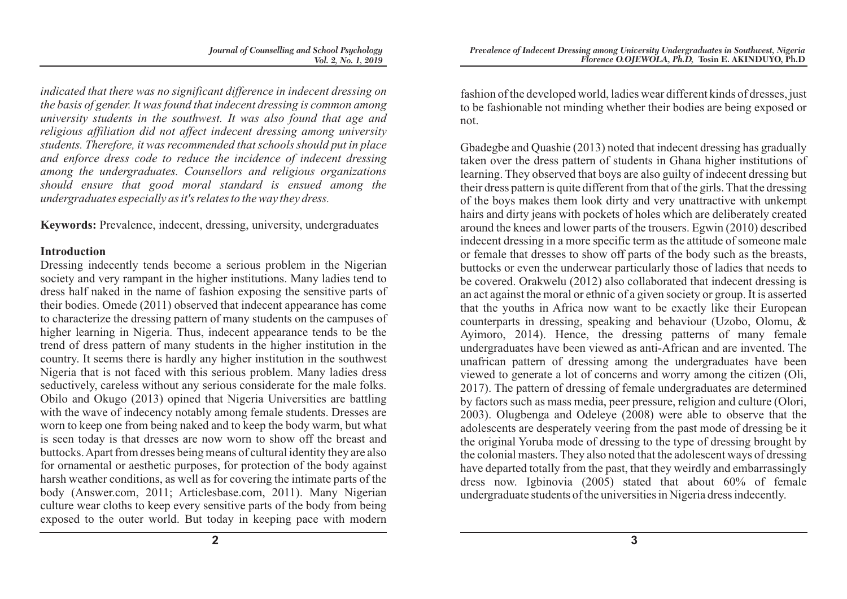*indicated that there was no significant difference in indecent dressing on the basis of gender. It was found that indecent dressing is common among university students in the southwest. It was also found that age and religious affiliation did not affect indecent dressing among university students. Therefore, it was recommended that schools should put in place and enforce dress code to reduce the incidence of indecent dressing among the undergraduates. Counsellors and religious organizations should ensure that good moral standard is ensued among the undergraduates especially as it's relates to the way they dress.*

**Keywords:** Prevalence, indecent, dressing, university, undergraduates

#### **Introduction**

Dressing indecently tends become a serious problem in the Nigerian society and very rampant in the higher institutions. Many ladies tend to dress half naked in the name of fashion exposing the sensitive parts of their bodies. Omede (2011) observed that indecent appearance has come to characterize the dressing pattern of many students on the campuses of higher learning in Nigeria. Thus, indecent appearance tends to be the trend of dress pattern of many students in the higher institution in the country. It seems there is hardly any higher institution in the southwest Nigeria that is not faced with this serious problem. Many ladies dress seductively, careless without any serious considerate for the male folks. Obilo and Okugo (2013) opined that Nigeria Universities are battling with the wave of indecency notably among female students. Dresses are worn to keep one from being naked and to keep the body warm, but what is seen today is that dresses are now worn to show off the breast and buttocks. Apart from dresses being means of cultural identity they are also for ornamental or aesthetic purposes, for protection of the body against harsh weather conditions, as well as for covering the intimate parts of the body (Answer.com, 2011; Articlesbase.com, 2011). Many Nigerian culture wear cloths to keep every sensitive parts of the body from being exposed to the outer world. But today in keeping pace with modern fashion of the developed world, ladies wear different kinds of dresses, just to be fashionable not minding whether their bodies are being exposed or not.

Gbadegbe and Quashie (2013) noted that indecent dressing has gradually taken over the dress pattern of students in Ghana higher institutions of learning. They observed that boys are also guilty of indecent dressing but their dress pattern is quite different from that of the girls. That the dressing of the boys makes them look dirty and very unattractive with unkempt hairs and dirty jeans with pockets of holes which are deliberately created around the knees and lower parts of the trousers. Egwin (2010) described indecent dressing in a more specific term as the attitude of someone male or female that dresses to show off parts of the body such as the breasts, buttocks or even the underwear particularly those of ladies that needs to be covered. Orakwelu (2012) also collaborated that indecent dressing is an act against the moral or ethnic of a given society or group. It is asserted that the youths in Africa now want to be exactly like their European counterparts in dressing, speaking and behaviour (Uzobo, Olomu, & Ayimoro, 2014). Hence, the dressing patterns of many female undergraduates have been viewed as anti-African and are invented. The unafrican pattern of dressing among the undergraduates have been viewed to generate a lot of concerns and worry among the citizen (Oli, 2017). The pattern of dressing of female undergraduates are determined by factors such as mass media, peer pressure, religion and culture (Olori, 2003). Olugbenga and Odeleye (2008) were able to observe that the adolescents are desperately veering from the past mode of dressing be it the original Yoruba mode of dressing to the type of dressing brought by the colonial masters. They also noted that the adolescent ways of dressing have departed totally from the past, that they weirdly and embarrassingly dress now. Igbinovia (2005) stated that about 60% of female undergraduate students of the universities in Nigeria dress indecently.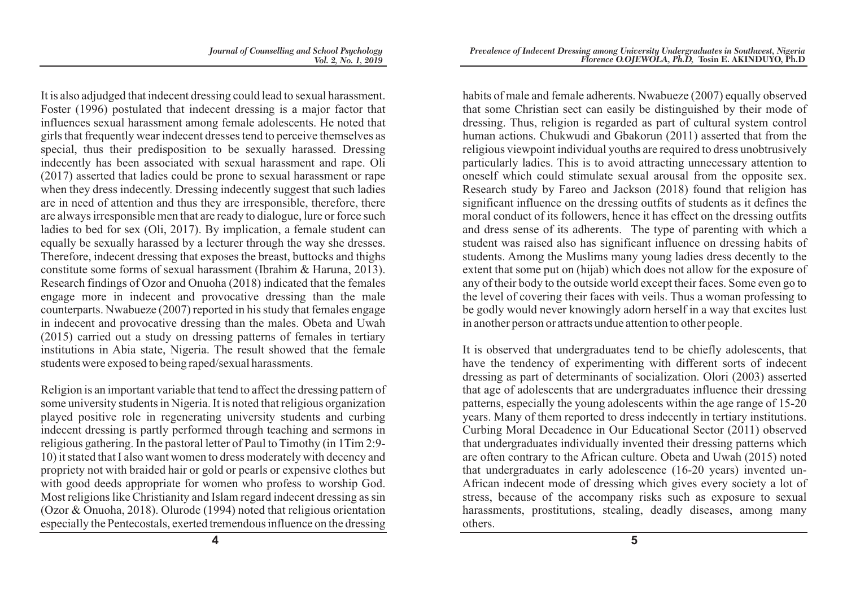It is also adjudged that indecent dressing could lead to sexual harassment. Foster (1996) postulated that indecent dressing is a major factor that influences sexual harassment among female adolescents. He noted that girls that frequently wear indecent dresses tend to perceive themselves as special, thus their predisposition to be sexually harassed. Dressing indecently has been associated with sexual harassment and rape. Oli (2017) asserted that ladies could be prone to sexual harassment or rape when they dress indecently. Dressing indecently suggest that such ladies are in need of attention and thus they are irresponsible, therefore, there are always irresponsible men that are ready to dialogue, lure or force such ladies to bed for sex (Oli, 2017). By implication, a female student can equally be sexually harassed by a lecturer through the way she dresses. Therefore, indecent dressing that exposes the breast, buttocks and thighs constitute some forms of sexual harassment (Ibrahim & Haruna, 2013). Research findings of Ozor and Onuoha (2018) indicated that the females engage more in indecent and provocative dressing than the male counterparts. Nwabueze (2007) reported in his study that females engage in indecent and provocative dressing than the males. Obeta and Uwah (2015) carried out a study on dressing patterns of females in tertiary institutions in Abia state, Nigeria. The result showed that the female students were exposed to being raped/sexual harassments.

Religion is an important variable that tend to affect the dressing pattern of some university students in Nigeria. It is noted that religious organization played positive role in regenerating university students and curbing indecent dressing is partly performed through teaching and sermons in religious gathering. In the pastoral letter of Paul to Timothy (in 1Tim 2:9- 10) it stated that I also want women to dress moderately with decency and propriety not with braided hair or gold or pearls or expensive clothes but with good deeds appropriate for women who profess to worship God. Most religions like Christianity and Islam regard indecent dressing as sin (Ozor & Onuoha, 2018). Olurode (1994) noted that religious orientation especially the Pentecostals, exerted tremendous influence on the dressing

habits of male and female adherents. Nwabueze (2007) equally observed that some Christian sect can easily be distinguished by their mode of dressing. Thus, religion is regarded as part of cultural system control human actions. Chukwudi and Gbakorun (2011) asserted that from the religious viewpoint individual youths are required to dress unobtrusively particularly ladies. This is to avoid attracting unnecessary attention to oneself which could stimulate sexual arousal from the opposite sex. Research study by Fareo and Jackson (2018) found that religion has significant influence on the dressing outfits of students as it defines the moral conduct of its followers, hence it has effect on the dressing outfits and dress sense of its adherents. The type of parenting with which a student was raised also has significant influence on dressing habits of students. Among the Muslims many young ladies dress decently to the extent that some put on (hijab) which does not allow for the exposure of any of their body to the outside world except their faces. Some even go to the level of covering their faces with veils. Thus a woman professing to be godly would never knowingly adorn herself in a way that excites lust in another person or attracts undue attention to other people.

It is observed that undergraduates tend to be chiefly adolescents, that have the tendency of experimenting with different sorts of indecent dressing as part of determinants of socialization. Olori (2003) asserted that age of adolescents that are undergraduates influence their dressing patterns, especially the young adolescents within the age range of 15-20 years. Many of them reported to dress indecently in tertiary institutions. Curbing Moral Decadence in Our Educational Sector (2011) observed that undergraduates individually invented their dressing patterns which are often contrary to the African culture. Obeta and Uwah (2015) noted that undergraduates in early adolescence (16-20 years) invented un-African indecent mode of dressing which gives every society a lot of stress, because of the accompany risks such as exposure to sexual harassments, prostitutions, stealing, deadly diseases, among many others.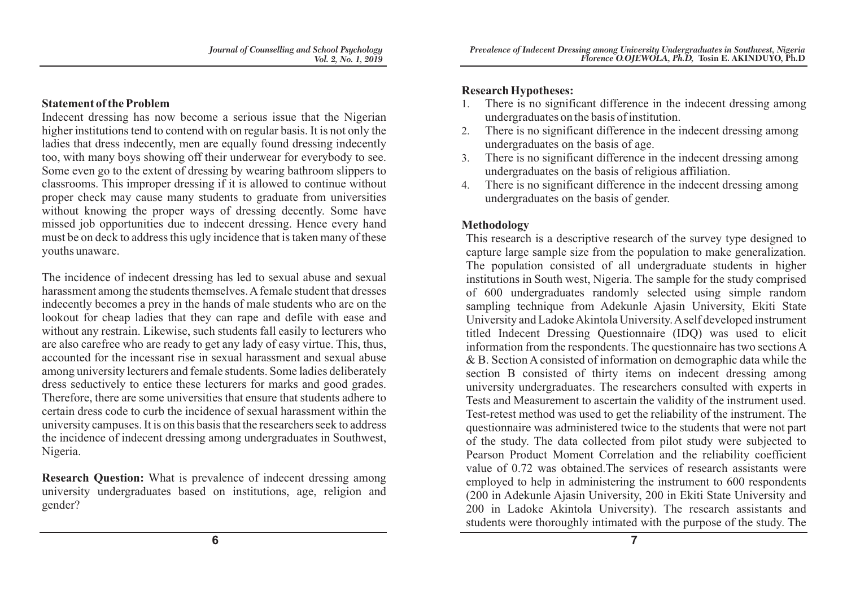#### **Statement of the Problem**

Indecent dressing has now become a serious issue that the Nigerian higher institutions tend to contend with on regular basis. It is not only the ladies that dress indecently, men are equally found dressing indecently too, with many boys showing off their underwear for everybody to see. Some even go to the extent of dressing by wearing bathroom slippers to classrooms. This improper dressing if it is allowed to continue without proper check may cause many students to graduate from universities without knowing the proper ways of dressing decently. Some have missed job opportunities due to indecent dressing. Hence every hand must be on deck to address this ugly incidence that is taken many of these youths unaware.

The incidence of indecent dressing has led to sexual abuse and sexual harassment among the students themselves. Afemale student that dresses indecently becomes a prey in the hands of male students who are on the lookout for cheap ladies that they can rape and defile with ease and without any restrain. Likewise, such students fall easily to lecturers who are also carefree who are ready to get any lady of easy virtue. This, thus, accounted for the incessant rise in sexual harassment and sexual abuse among university lecturers and female students. Some ladies deliberately dress seductively to entice these lecturers for marks and good grades. Therefore, there are some universities that ensure that students adhere to certain dress code to curb the incidence of sexual harassment within the university campuses. It is on this basis that the researchers seek to address the incidence of indecent dressing among undergraduates in Southwest, Nigeria.

**Research Question:** What is prevalence of indecent dressing among university undergraduates based on institutions, age, religion and gender?

### **Research Hypotheses:**

- 1. There is no significant difference in the indecent dressing among undergraduates on the basis of institution.
- 2. There is no significant difference in the indecent dressing among undergraduates on the basis of age.
- 3. There is no significant difference in the indecent dressing among undergraduates on the basis of religious affiliation.
- 4. There is no significant difference in the indecent dressing among undergraduates on the basis of gender.

## **Methodology**

This research is a descriptive research of the survey type designed to capture large sample size from the population to make generalization. The population consisted of all undergraduate students in higher institutions in South west, Nigeria. The sample for the study comprised of 600 undergraduates randomly selected using simple random sampling technique from Adekunle Ajasin University, Ekiti State University and Ladoke Akintola University. Aself developed instrument titled Indecent Dressing Questionnaire (IDQ) was used to elicit information from the respondents. The questionnaire has two sections A & B. Section A consisted of information on demographic data while the section B consisted of thirty items on indecent dressing among university undergraduates. The researchers consulted with experts in Tests and Measurement to ascertain the validity of the instrument used. Test-retest method was used to get the reliability of the instrument. The questionnaire was administered twice to the students that were not part of the study. The data collected from pilot study were subjected to Pearson Product Moment Correlation and the reliability coefficient value of 0.72 was obtained.The services of research assistants were employed to help in administering the instrument to 600 respondents (200 in Adekunle Ajasin University, 200 in Ekiti State University and 200 in Ladoke Akintola University). The research assistants and students were thoroughly intimated with the purpose of the study. The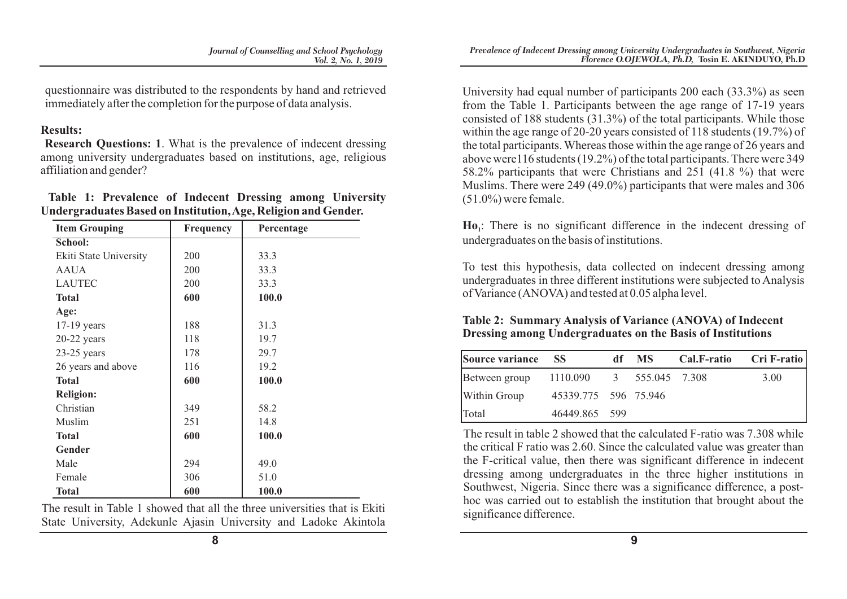questionnaire was distributed to the respondents by hand and retrieved immediately after the completion for the purpose of data analysis.

#### **Results:**

**Research Questions: 1**. What is the prevalence of indecent dressing among university undergraduates based on institutions, age, religious affiliation and gender?

|  | Table 1: Prevalence of Indecent Dressing among University      |  |  |  |
|--|----------------------------------------------------------------|--|--|--|
|  | Undergraduates Based on Institution, Age, Religion and Gender. |  |  |  |

| <b>Item Grouping</b>   | Frequency | Percentage |  |  |
|------------------------|-----------|------------|--|--|
| School:                |           |            |  |  |
| Ekiti State University | 200       | 33.3       |  |  |
| <b>AAUA</b>            | 200       | 33.3       |  |  |
| <b>LAUTEC</b>          | 200       | 33.3       |  |  |
| <b>Total</b>           | 600       | 100.0      |  |  |
| Age:                   |           |            |  |  |
| $17-19$ years          | 188       | 31.3       |  |  |
| $20-22$ years          | 118       | 19.7       |  |  |
| $23-25$ years          | 178       | 29.7       |  |  |
| 26 years and above     | 116       | 19.2       |  |  |
| <b>Total</b>           | 600       | 100.0      |  |  |
| <b>Religion:</b>       |           |            |  |  |
| Christian              | 349       | 58.2       |  |  |
| Muslim                 | 251       | 14.8       |  |  |
| <b>Total</b>           | 600       | 100.0      |  |  |
| Gender                 |           |            |  |  |
| Male                   | 294       | 49.0       |  |  |
| Female                 | 306       | 51.0       |  |  |
| <b>Total</b>           | 600       | 100.0      |  |  |

The result in Table 1 showed that all the three universities that is Ekiti State University, Adekunle Ajasin University and Ladoke Akintola University had equal number of participants 200 each (33.3%) as seen from the Table 1. Participants between the age range of 17-19 years consisted of 188 students (31.3%) of the total participants. While those within the age range of 20-20 years consisted of 118 students (19.7%) of the total participants. Whereas those within the age range of 26 years and above were116 students (19.2%) of the total participants. There were 349 58.2% participants that were Christians and 251 (41.8 %) that were Muslims. There were 249 (49.0%) participants that were males and 306  $(51.0\%)$  were female.

**Ho** : There is no significant difference in the indecent dressing of **<sup>1</sup>** undergraduates on the basis of institutions.

To test this hypothesis, data collected on indecent dressing among undergraduates in three different institutions were subjected to Analysis of Variance (ANOVA) and tested at 0.05 alpha level.

## **Table 2: Summary Analysis of Variance (ANOVA) of Indecent Dressing among Undergraduates on the Basis of Institutions**

| Source variance | <b>SS</b>                | df MS | Cal.F-ratio Cri F-ratio |
|-----------------|--------------------------|-------|-------------------------|
| Between group   | 1110.090 3 555.045 7.308 |       | 3.00                    |
| Within Group    | 45339.775 596 75.946     |       |                         |
| Total           | 46449.865 599            |       |                         |

The result in table 2 showed that the calculated F-ratio was 7.308 while the critical F ratio was 2.60. Since the calculated value was greater than the F-critical value, then there was significant difference in indecent dressing among undergraduates in the three higher institutions in Southwest, Nigeria. Since there was a significance difference, a posthoc was carried out to establish the institution that brought about the significance difference.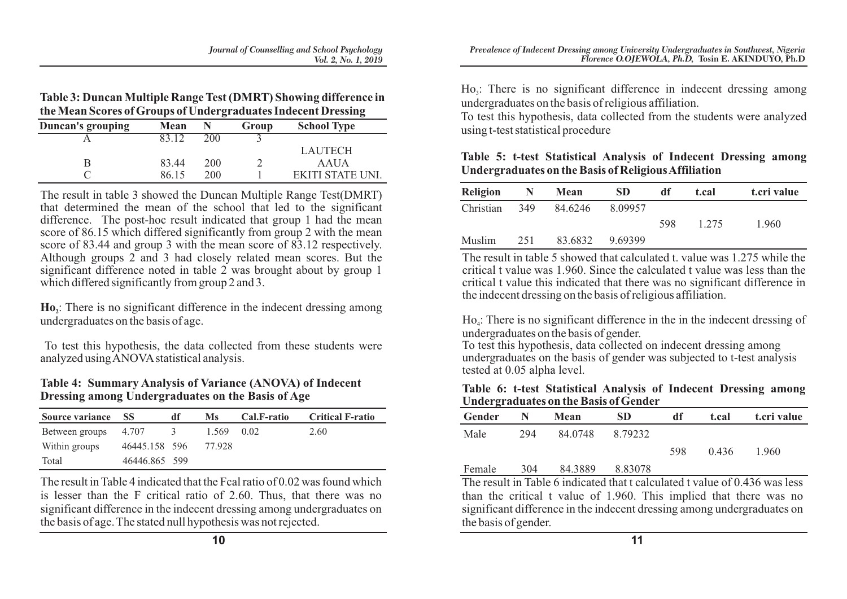**Table 3: Duncan Multiple Range Test (DMRT) Showing difference in the Mean Scores of Groups of Undergraduates Indecent Dressing**

| <b>Duncan's grouping</b> | <b>Mean</b> |     | Group | <b>School Type</b> |
|--------------------------|-------------|-----|-------|--------------------|
|                          | 83.12       | 200 |       |                    |
|                          |             |     |       | LAUTECH            |
|                          | 83.44       | 200 |       | AAUA               |
|                          | 86 15       | 200 |       | EKITI STATE UNI.   |

The result in table 3 showed the Duncan Multiple Range Test(DMRT) that determined the mean of the school that led to the significant difference. The post-hoc result indicated that group 1 had the mean score of 86.15 which differed significantly from group 2 with the mean score of 83.44 and group 3 with the mean score of 83.12 respectively. Although groups 2 and 3 had closely related mean scores. But the significant difference noted in table 2 was brought about by group 1 which differed significantly from group 2 and 3.

**Ho**,: There is no significant difference in the indecent dressing among undergraduates on the basis of age.

To test this hypothesis, the data collected from these students were analyzed using ANOVAstatistical analysis.

#### **Table 4: Summary Analysis of Variance (ANOVA) of Indecent Dressing among Undergraduates on the Basis of Age**

| Source variance SS |               | df       | Ms     | Cal.F-ratio | <b>Critical F-ratio</b> |
|--------------------|---------------|----------|--------|-------------|-------------------------|
| Between groups     | 4.707         | $\Delta$ | 1.569  | 0.02        | 2.60                    |
| Within groups      | 46445.158 596 |          | 77.928 |             |                         |
| Total              | 46446.865 599 |          |        |             |                         |

The result in Table 4 indicated that the Fcal ratio of 0.02 was found which is lesser than the F critical ratio of 2.60. Thus, that there was no significant difference in the indecent dressing among undergraduates on the basis of age. The stated null hypothesis was not rejected.

 $Ho<sub>3</sub>:$  There is no significant difference in indecent dressing among undergraduates on the basis of religious affiliation.

To test this hypothesis, data collected from the students were analyzed using t-test statistical procedure

**Table 5: t-test Statistical Analysis of Indecent Dressing among Undergraduates on the Basis of Religious Affiliation**

| <b>Religion</b> | N   | Mean    | <b>SD</b> | df  | t.cal | t.cri value |
|-----------------|-----|---------|-----------|-----|-------|-------------|
| Christian       | 349 | 84.6246 | 8.09957   |     |       |             |
|                 |     |         |           | 598 | 1.275 | 1.960       |
| Muslim          | 251 | 83.6832 | 9.69399   |     |       |             |

The result in table 5 showed that calculated t. value was 1.275 while the critical t value was 1.960. Since the calculated t value was less than the critical t value this indicated that there was no significant difference in the indecent dressing on the basis of religious affiliation.

Ho.: There is no significant difference in the in the indecent dressing of undergraduates on the basis of gender.

To test this hypothesis, data collected on indecent dressing among undergraduates on the basis of gender was subjected to t-test analysis tested at 0.05 alpha level.

#### **Table 6: t-test Statistical Analysis of Indecent Dressing among Undergraduates on the Basis of Gender**

| Gender         |     | Mean    | SD      | df                        | t.cal | t.cri value |
|----------------|-----|---------|---------|---------------------------|-------|-------------|
| Male           | 294 | 84.0748 | 8.79232 |                           |       |             |
|                |     |         |         | 598                       | 0.436 | 1.960       |
| Female         | 304 | 84.3889 | 8.83078 |                           |       |             |
| T <sub>1</sub> |     |         |         | $\mathbf{1}$ $\mathbf{1}$ |       | 0.012       |

The result in Table 6 indicated that t calculated t value of 0.436 was less than the critical t value of 1.960. This implied that there was no significant difference in the indecent dressing among undergraduates on the basis of gender.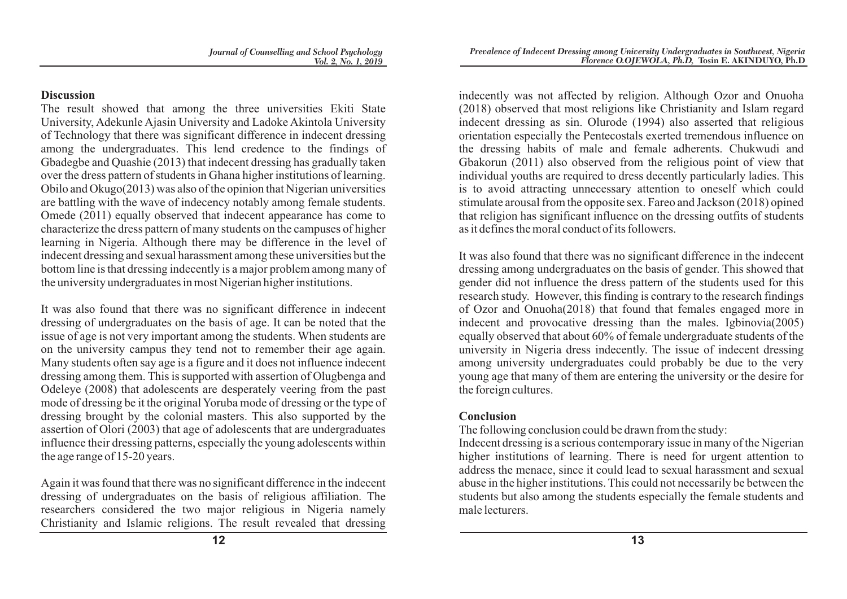# **Discussion**

The result showed that among the three universities Ekiti State University, Adekunle Ajasin University and Ladoke Akintola University of Technology that there was significant difference in indecent dressing among the undergraduates. This lend credence to the findings of Gbadegbe and Quashie (2013) that indecent dressing has gradually taken over the dress pattern of students in Ghana higher institutions of learning. Obilo and Okugo(2013) was also of the opinion that Nigerian universities are battling with the wave of indecency notably among female students. Omede (2011) equally observed that indecent appearance has come to characterize the dress pattern of many students on the campuses of higher learning in Nigeria. Although there may be difference in the level of indecent dressing and sexual harassment among these universities but the bottom line is that dressing indecently is a major problem among many of the university undergraduates in most Nigerian higher institutions.

It was also found that there was no significant difference in indecent dressing of undergraduates on the basis of age. It can be noted that the issue of age is not very important among the students. When students are on the university campus they tend not to remember their age again. Many students often say age is a figure and it does not influence indecent dressing among them. This is supported with assertion of Olugbenga and Odeleye (2008) that adolescents are desperately veering from the past mode of dressing be it the original Yoruba mode of dressing or the type of dressing brought by the colonial masters. This also supported by the assertion of Olori (2003) that age of adolescents that are undergraduates influence their dressing patterns, especially the young adolescents within the age range of 15-20 years.

Again it was found that there was no significant difference in the indecent dressing of undergraduates on the basis of religious affiliation. The researchers considered the two major religious in Nigeria namely Christianity and Islamic religions. The result revealed that dressing

indecently was not affected by religion. Although Ozor and Onuoha (2018) observed that most religions like Christianity and Islam regard indecent dressing as sin. Olurode (1994) also asserted that religious orientation especially the Pentecostals exerted tremendous influence on the dressing habits of male and female adherents. Chukwudi and Gbakorun (2011) also observed from the religious point of view that individual youths are required to dress decently particularly ladies. This is to avoid attracting unnecessary attention to oneself which could stimulate arousal from the opposite sex. Fareo and Jackson (2018) opined that religion has significant influence on the dressing outfits of students as it defines the moral conduct of its followers.

It was also found that there was no significant difference in the indecent dressing among undergraduates on the basis of gender. This showed that gender did not influence the dress pattern of the students used for this research study. However, this finding is contrary to the research findings of Ozor and Onuoha(2018) that found that females engaged more in indecent and provocative dressing than the males. Igbinovia(2005) equally observed that about 60% of female undergraduate students of the university in Nigeria dress indecently. The issue of indecent dressing among university undergraduates could probably be due to the very young age that many of them are entering the university or the desire for the foreign cultures.

# **Conclusion**

The following conclusion could be drawn from the study:

Indecent dressing is a serious contemporary issue in many of the Nigerian higher institutions of learning. There is need for urgent attention to address the menace, since it could lead to sexual harassment and sexual abuse in the higher institutions. This could not necessarily be between the students but also among the students especially the female students and male lecturers.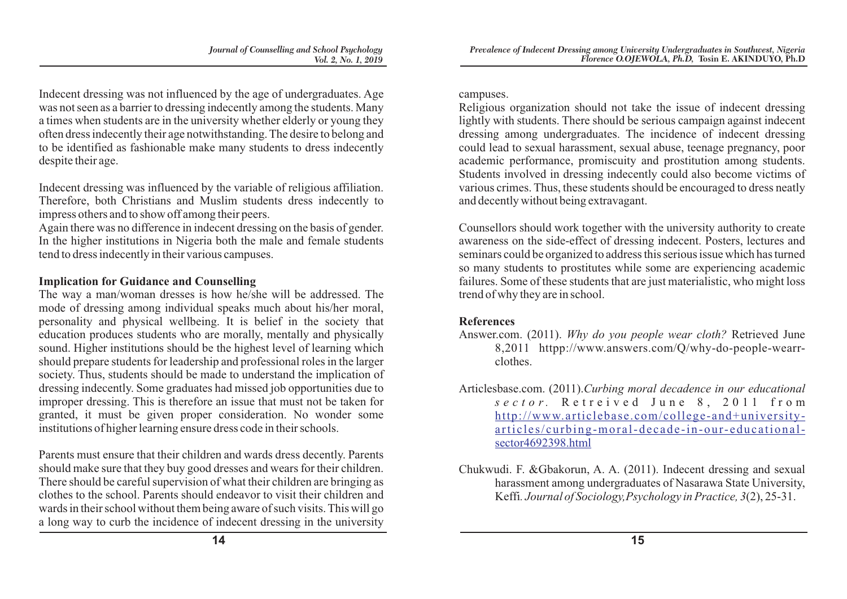Indecent dressing was not influenced by the age of undergraduates. Age was not seen as a barrier to dressing indecently among the students. Many a times when students are in the university whether elderly or young they often dress indecently their age notwithstanding. The desire to belong and to be identified as fashionable make many students to dress indecently despite their age.

Indecent dressing was influenced by the variable of religious affiliation. Therefore, both Christians and Muslim students dress indecently to impress others and to show off among their peers.

Again there was no difference in indecent dressing on the basis of gender. In the higher institutions in Nigeria both the male and female students tend to dress indecently in their various campuses.

#### **Implication for Guidance and Counselling**

The way a man/woman dresses is how he/she will be addressed. The mode of dressing among individual speaks much about his/her moral, personality and physical wellbeing. It is belief in the society that education produces students who are morally, mentally and physically sound. Higher institutions should be the highest level of learning which should prepare students for leadership and professional roles in the larger society. Thus, students should be made to understand the implication of dressing indecently. Some graduates had missed job opportunities due to improper dressing. This is therefore an issue that must not be taken for granted, it must be given proper consideration. No wonder some institutions of higher learning ensure dress code in their schools.

Parents must ensure that their children and wards dress decently. Parents should make sure that they buy good dresses and wears for their children. There should be careful supervision of what their children are bringing as clothes to the school. Parents should endeavor to visit their children and wards in their school without them being aware of such visits. This will go a long way to curb the incidence of indecent dressing in the university campuses.

Religious organization should not take the issue of indecent dressing lightly with students. There should be serious campaign against indecent dressing among undergraduates. The incidence of indecent dressing could lead to sexual harassment, sexual abuse, teenage pregnancy, poor academic performance, promiscuity and prostitution among students. Students involved in dressing indecently could also become victims of various crimes. Thus, these students should be encouraged to dress neatly and decently without being extravagant.

Counsellors should work together with the university authority to create awareness on the side-effect of dressing indecent. Posters, lectures and seminars could be organized to address this serious issue which has turned so many students to prostitutes while some are experiencing academic failures. Some of these students that are just materialistic, who might loss trend of why they are in school.

## **References**

- Answer.com. (2011). *Why do you people wear cloth?* Retrieved June 8,2011 httpp://www.answers.com/Q/why-do-people-wearrclothes.
- Articlesbase.com. (2011).*Curbing moral decadence in our educational s e c t o r .* R e t r e i v e d J u n e 8 , 2 0 1 1 f r o m http://www.articlebase.com/college-and+universityarticles/curbing-moral-decade-in-our-educationalsector4692398.html
- Chukwudi. F. &Gbakorun, A. A. (2011). Indecent dressing and sexual harassment among undergraduates of Nasarawa State University, Keffi*. Journal of Sociology,Psychology in Practice, 3*(2), 25-31.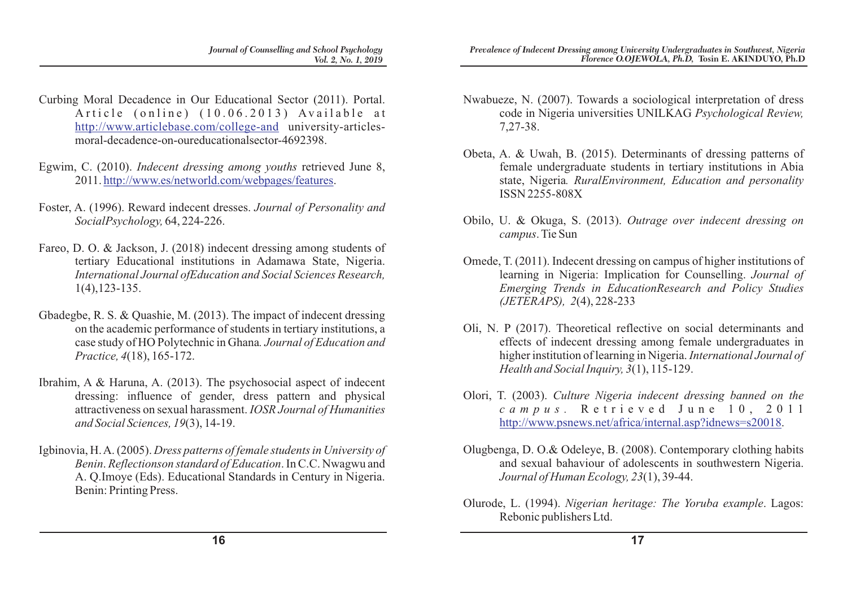- Curbing Moral Decadence in Our Educational Sector (2011). Portal. Article (online)  $(10.06.2013)$  Available at http://www.articlebase.com/college-and university-articlesmoral-decadence-on-oureducationalsector-4692398.
- Egwim, C. (2010). *Indecent dressing among youths* retrieved June 8, 2011. http://www.es/networld.com/webpages/features.
- Foster, A. (1996). Reward indecent dresses. *Journal of Personality and SocialPsychology,* 64, 224-226.
- Fareo, D. O. & Jackson, J. (2018) indecent dressing among students of tertiary Educational institutions in Adamawa State, Nigeria. *International Journal ofEducation and Social Sciences Research,*  1(4),123-135.
- Gbadegbe, R. S. & Quashie, M. (2013). The impact of indecent dressing on the academic performance of students in tertiary institutions, a case study of HO Polytechnic in Ghana*. Journal of Education and Practice, 4*(18), 165-172.
- Ibrahim, A & Haruna, A. (2013). The psychosocial aspect of indecent dressing: influence of gender, dress pattern and physical attractiveness on sexual harassment. *IOSR Journal of Humanities and Social Sciences, 19*(3), 14-19.
- Igbinovia, H. A. (2005). *Dress patterns of female students in University of Benin*. *Reflectionson standard of Education*. In C.C. Nwagwu and A. Q.Imoye (Eds). Educational Standards in Century in Nigeria. Benin: Printing Press.
- Nwabueze, N. (2007). Towards a sociological interpretation of dress code in Nigeria universities UNILKAG *Psychological Review,* 7,27-38.
- Obeta, A. & Uwah, B. (2015). Determinants of dressing patterns of female undergraduate students in tertiary institutions in Abia state, Nigeria*. RuralEnvironment, Education and personality* ISSN 2255-808X
- Obilo, U. & Okuga, S. (2013). *Outrage over indecent dressing on campus*. Tie Sun
- Omede, T. (2011). Indecent dressing on campus of higher institutions of learning in Nigeria: Implication for Counselling. *Journal of Emerging Trends in EducationResearch and Policy Studies (JETERAPS), 2*(4), 228-233
- Oli, N. P (2017). Theoretical reflective on social determinants and effects of indecent dressing among female undergraduates in higher institution of learning in Nigeria. *International Journal of Health and Social Inquiry, 3*(1), 115-129.
- Olori, T. (2003). *Culture Nigeria indecent dressing banned on the c a m p u s .* R e t r i e v e d J u n e 1 0 , 2 0 1 1 http://www.psnews.net/africa/internal.asp?idnews=s20018.
- Olugbenga, D. O.& Odeleye, B. (2008). Contemporary clothing habits and sexual bahaviour of adolescents in southwestern Nigeria. *Journal of Human Ecology, 23*(1), 39-44.
- Olurode, L. (1994). *Nigerian heritage: The Yoruba example*. Lagos: Rebonic publishers Ltd.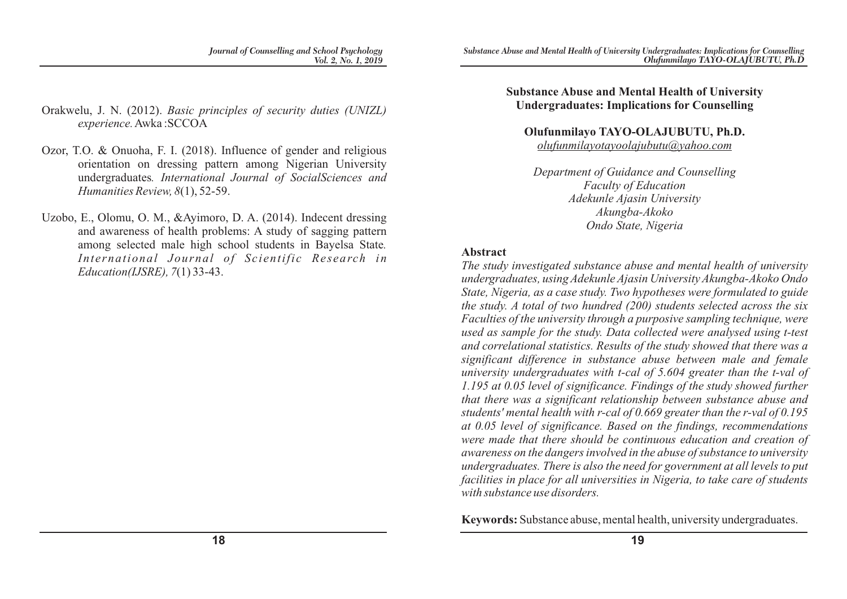- Orakwelu, J. N. (2012). *Basic principles of security duties (UNIZL) experience.*Awka :SCCOA
- Ozor, T.O. & Onuoha, F. I. (2018). Influence of gender and religious orientation on dressing pattern among Nigerian University undergraduates*. International Journal of SocialSciences and Humanities Review, 8*(1), 52-59.
- Uzobo, E., Olomu, O. M., &Ayimoro, D. A. (2014). Indecent dressing and awareness of health problems: A study of sagging pattern among selected male high school students in Bayelsa State*. International Journal of Scientific Research in Education(IJSRE), 7*(1) 33-43.

#### **Substance Abuse and Mental Health of University Undergraduates: Implications for Counselling**

# **Olufunmilayo TAYO-OLAJUBUTU, Ph.D.**

*olufunmilayotayoolajubutu@yahoo.com*

*Department of Guidance and Counselling Faculty of Education Adekunle Ajasin University Akungba-Akoko Ondo State, Nigeria*

#### **Abstract**

*The study investigated substance abuse and mental health of university undergraduates, using Adekunle Ajasin University Akungba-Akoko Ondo State, Nigeria, as a case study. Two hypotheses were formulated to guide the study. A total of two hundred (200) students selected across the six Faculties of the university through a purposive sampling technique, were used as sample for the study. Data collected were analysed using t-test and correlational statistics. Results of the study showed that there was a significant difference in substance abuse between male and female university undergraduates with t-cal of 5.604 greater than the t-val of 1.195 at 0.05 level of significance. Findings of the study showed further that there was a significant relationship between substance abuse and students' mental health with r-cal of 0.669 greater than the r-val of 0.195 at 0.05 level of significance. Based on the findings, recommendations were made that there should be continuous education and creation of awareness on the dangers involved in the abuse of substance to university undergraduates. There is also the need for government at all levels to put facilities in place for all universities in Nigeria, to take care of students with substance use disorders.*

**Keywords:** Substance abuse, mental health, university undergraduates.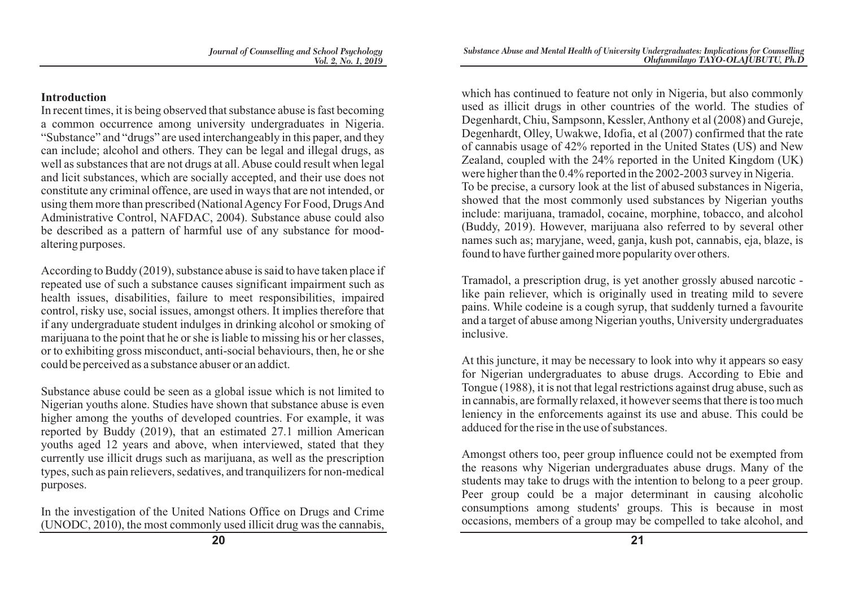## **Introduction**

In recent times, it is being observed that substance abuse is fast becoming a common occurrence among university undergraduates in Nigeria. "Substance" and "drugs" are used interchangeably in this paper, and they can include; alcohol and others. They can be legal and illegal drugs, as well as substances that are not drugs at all. Abuse could result when legal and licit substances, which are socially accepted, and their use does not constitute any criminal offence, are used in ways that are not intended, or using them more than prescribed (National Agency For Food, Drugs And Administrative Control, NAFDAC, 2004). Substance abuse could also be described as a pattern of harmful use of any substance for moodaltering purposes.

According to Buddy (2019), substance abuse is said to have taken place if repeated use of such a substance causes significant impairment such as health issues, disabilities, failure to meet responsibilities, impaired control, risky use, social issues, amongst others. It implies therefore that if any undergraduate student indulges in drinking alcohol or smoking of marijuana to the point that he or she is liable to missing his or her classes, or to exhibiting gross misconduct, anti-social behaviours, then, he or she could be perceived as a substance abuser or an addict.

Substance abuse could be seen as a global issue which is not limited to Nigerian youths alone. Studies have shown that substance abuse is even higher among the youths of developed countries. For example, it was reported by Buddy (2019), that an estimated 27.1 million American youths aged 12 years and above, when interviewed, stated that they currently use illicit drugs such as marijuana, as well as the prescription types, such as pain relievers, sedatives, and tranquilizers for non-medical purposes.

In the investigation of the United Nations Office on Drugs and Crime (UNODC, 2010), the most commonly used illicit drug was the cannabis,

which has continued to feature not only in Nigeria, but also commonly used as illicit drugs in other countries of the world. The studies of Degenhardt, Chiu, Sampsonn, Kessler, Anthony et al (2008) and Gureje, Degenhardt, Olley, Uwakwe, Idofia, et al (2007) confirmed that the rate of cannabis usage of 42% reported in the United States (US) and New Zealand, coupled with the 24% reported in the United Kingdom (UK) were higher than the 0.4% reported in the 2002-2003 survey in Nigeria. To be precise, a cursory look at the list of abused substances in Nigeria, showed that the most commonly used substances by Nigerian youths include: marijuana, tramadol, cocaine, morphine, tobacco, and alcohol (Buddy, 2019). However, marijuana also referred to by several other names such as; maryjane, weed, ganja, kush pot, cannabis, eja, blaze, is found to have further gained more popularity over others.

Tramadol, a prescription drug, is yet another grossly abused narcotic like pain reliever, which is originally used in treating mild to severe pains. While codeine is a cough syrup, that suddenly turned a favourite and a target of abuse among Nigerian youths, University undergraduates inclusive.

At this juncture, it may be necessary to look into why it appears so easy for Nigerian undergraduates to abuse drugs. According to Ebie and Tongue (1988), it is not that legal restrictions against drug abuse, such as in cannabis, are formally relaxed, it however seems that there is too much leniency in the enforcements against its use and abuse. This could be adduced for the rise in the use of substances.

Amongst others too, peer group influence could not be exempted from the reasons why Nigerian undergraduates abuse drugs. Many of the students may take to drugs with the intention to belong to a peer group. Peer group could be a major determinant in causing alcoholic consumptions among students' groups. This is because in most occasions, members of a group may be compelled to take alcohol, and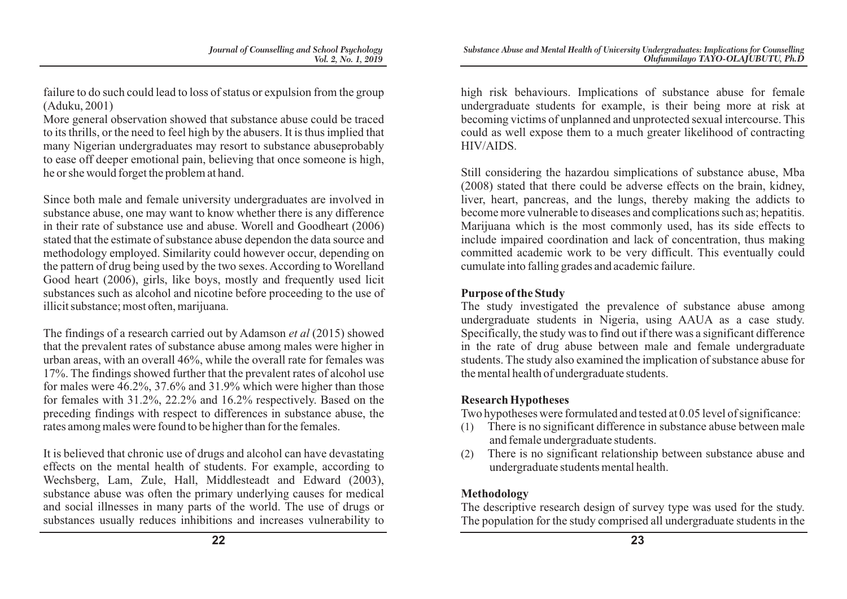failure to do such could lead to loss of status or expulsion from the group (Aduku, 2001)

More general observation showed that substance abuse could be traced to its thrills, or the need to feel high by the abusers. It is thus implied that many Nigerian undergraduates may resort to substance abuseprobably to ease off deeper emotional pain, believing that once someone is high, he or she would forget the problem at hand.

Since both male and female university undergraduates are involved in substance abuse, one may want to know whether there is any difference in their rate of substance use and abuse. Worell and Goodheart (2006) stated that the estimate of substance abuse dependon the data source and methodology employed. Similarity could however occur, depending on the pattern of drug being used by the two sexes. According to Worelland Good heart (2006), girls, like boys, mostly and frequently used licit substances such as alcohol and nicotine before proceeding to the use of illicit substance; most often, marijuana.

The findings of a research carried out by Adamson *et al* (2015) showed that the prevalent rates of substance abuse among males were higher in urban areas, with an overall 46%, while the overall rate for females was 17%. The findings showed further that the prevalent rates of alcohol use for males were 46.2%, 37.6% and 31.9% which were higher than those for females with 31.2%, 22.2% and 16.2% respectively. Based on the preceding findings with respect to differences in substance abuse, the rates among males were found to be higher than for the females.

It is believed that chronic use of drugs and alcohol can have devastating effects on the mental health of students. For example, according to Wechsberg, Lam, Zule, Hall, Middlesteadt and Edward (2003), substance abuse was often the primary underlying causes for medical and social illnesses in many parts of the world. The use of drugs or substances usually reduces inhibitions and increases vulnerability to high risk behaviours. Implications of substance abuse for female undergraduate students for example, is their being more at risk at becoming victims of unplanned and unprotected sexual intercourse. This could as well expose them to a much greater likelihood of contracting HIV/AIDS.

Still considering the hazardou simplications of substance abuse, Mba (2008) stated that there could be adverse effects on the brain, kidney, liver, heart, pancreas, and the lungs, thereby making the addicts to become more vulnerable to diseases and complications such as; hepatitis. Marijuana which is the most commonly used, has its side effects to include impaired coordination and lack of concentration, thus making committed academic work to be very difficult. This eventually could cumulate into falling grades and academic failure.

### **Purpose of the Study**

The study investigated the prevalence of substance abuse among undergraduate students in Nigeria, using AAUA as a case study. Specifically, the study was to find out if there was a significant difference in the rate of drug abuse between male and female undergraduate students. The study also examined the implication of substance abuse for the mental health of undergraduate students.

## **Research Hypotheses**

Two hypotheses were formulated and tested at 0.05 level of significance:

- There is no significant difference in substance abuse between male and female undergraduate students.
- (2) There is no significant relationship between substance abuse and undergraduate students mental health.

# **Methodology**

The descriptive research design of survey type was used for the study. The population for the study comprised all undergraduate students in the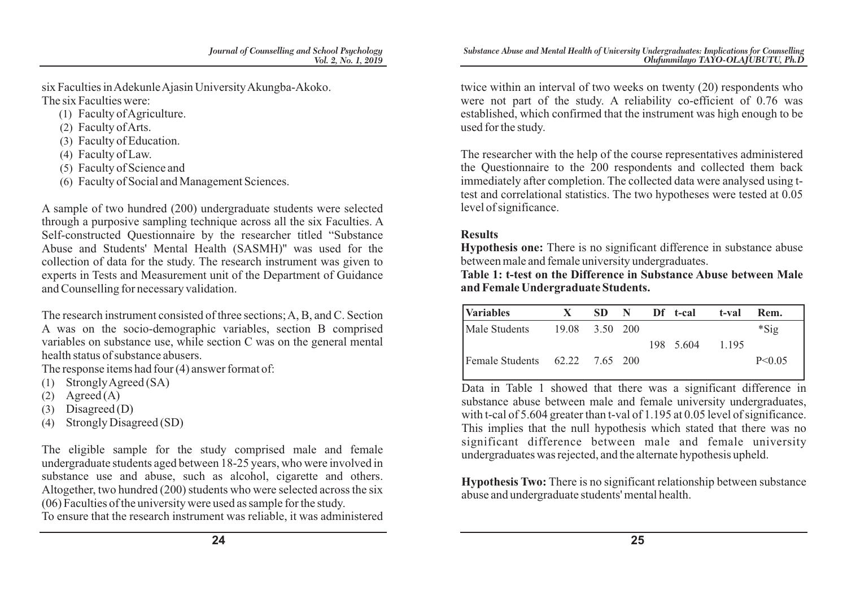six Faculties in Adekunle Ajasin University Akungba-Akoko. The six Faculties were:

- (1) Faculty of Agriculture.
- (2) Faculty of Arts.
- (3) Faculty of Education.
- (4) Faculty of Law.
- (5) Faculty of Science and
- (6) Faculty of Social and Management Sciences.

A sample of two hundred (200) undergraduate students were selected through a purposive sampling technique across all the six Faculties. A Self-constructed Questionnaire by the researcher titled "Substance Abuse and Students' Mental Health (SASMH)'' was used for the collection of data for the study. The research instrument was given to experts in Tests and Measurement unit of the Department of Guidance and Counselling for necessary validation.

The research instrument consisted of three sections; A, B, and C. Section A was on the socio-demographic variables, section B comprised variables on substance use, while section C was on the general mental health status of substance abusers.

The response items had four (4) answer format of:

- (1) Strongly Agreed (SA)
- $(2)$  Agreed  $(A)$
- (3) Disagreed (D)
- (4) Strongly Disagreed (SD)

The eligible sample for the study comprised male and female undergraduate students aged between 18-25 years, who were involved in substance use and abuse, such as alcohol, cigarette and others. Altogether, two hundred (200) students who were selected across the six (06) Faculties of the university were used as sample for the study.

To ensure that the research instrument was reliable, it was administered

twice within an interval of two weeks on twenty (20) respondents who were not part of the study. A reliability co-efficient of 0.76 was established, which confirmed that the instrument was high enough to be used for the study.

The researcher with the help of the course representatives administered the Questionnaire to the 200 respondents and collected them back immediately after completion. The collected data were analysed using ttest and correlational statistics. The two hypotheses were tested at 0.05 level of significance.

## **Results**

**Hypothesis one:** There is no significant difference in substance abuse between male and female university undergraduates.

**Table 1: t-test on the Difference in Substance Abuse between Male and Female Undergraduate Students.**

| <b>Variables</b>               | $\mathbf{X}$   |  | SD N Df t-cal | t-val | Rem.     |
|--------------------------------|----------------|--|---------------|-------|----------|
| Male Students                  | 19.08 3.50 200 |  |               |       | $*Sig$   |
|                                |                |  | 198 5.604     | 1.195 |          |
| Female Students 62.22 7.65 200 |                |  |               |       | P < 0.05 |

Data in Table 1 showed that there was a significant difference in substance abuse between male and female university undergraduates, with t-cal of 5.604 greater than t-val of 1.195 at 0.05 level of significance. This implies that the null hypothesis which stated that there was no significant difference between male and female university undergraduates was rejected, and the alternate hypothesis upheld.

**Hypothesis Two:** There is no significant relationship between substance abuse and undergraduate students' mental health.